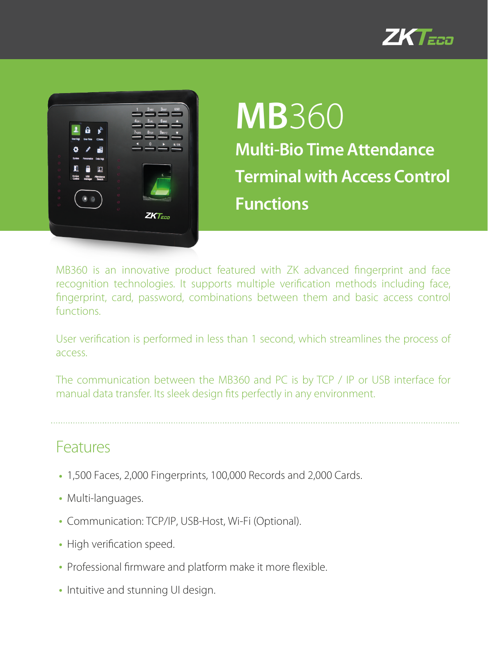



# **MB**360 **Multi-Bio Time Attendance Terminal with Access Control Functions**

MB360 is an innovative product featured with ZK advanced fingerprint and face recognition technologies. It supports multiple verification methods including face, fingerprint, card, password, combinations between them and basic access control functions.

User verification is performed in less than 1 second, which streamlines the process of access.

The communication between the MB360 and PC is by TCP / IP or USB interface for manual data transfer. Its sleek design fits perfectly in any environment.

#### Features

- 1,500 Faces, 2,000 Fingerprints, 100,000 Records and 2,000 Cards.
- Multi-languages.
- Communication: TCP/IP, USB-Host, Wi-Fi (Optional).
- High verification speed.
- Professional firmware and platform make it more flexible.
- Intuitive and stunning UI design.